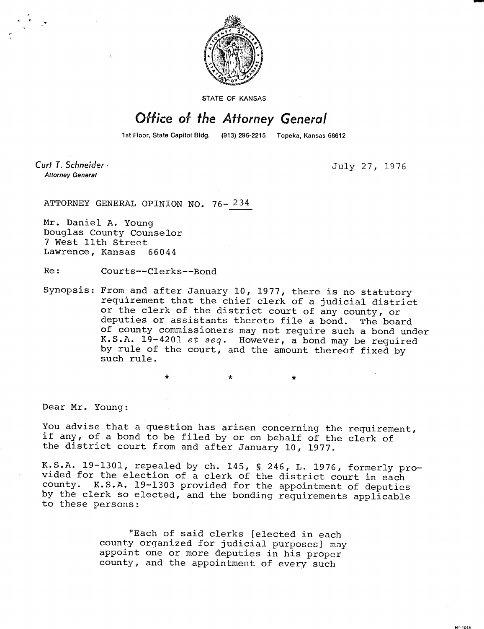

**STATE OF KANSAS** 

## Office of the Attorney General

1st Floor, State Capitol Bldg. (913) 296-2215 Topeka, Kansas 66612

Curt T. Schneider -**Attorney General** 

July 27, 1976

ATTORNEY GENERAL OPINION NO. 76- 234

Mr. Daniel A. Young Douglas County Counselor 7 West 11th Street Lawrence, Kansas 66044

Re: Courts--Clerks--Bond

Synopsis: From and after January 10, 1977, there is no statutory requirement that the chief clerk of a judicial district or the clerk of the district court of any county, or deputies or assistants thereto file a bond. The board of county commissioners may not require such a bond under K.S.A.  $19-4201$  et seq. However, a bond may be required by rule of the court, and the amount thereof fixed by such rule.

 $\Delta$ 

Dear Mr. Young:

You advise that a question has arisen concerning the requirement, if any, of a bond to be filed by or on behalf of the clerk of the district court from and after January 10, 1977.

K.S.A. 19-1301, repealed by ch. 145, § 246, L. 1976, formerly provided for the election of a clerk of the district court in each county. K.S.A. 19-1303 provided for the appointment of deputies by the clerk so elected, and the bonding requirements applicable to these persons:

> "Each of said clerks [elected in each county organized for judicial purposes] may appoint one or more deputies in his proper county, and the appointment of every such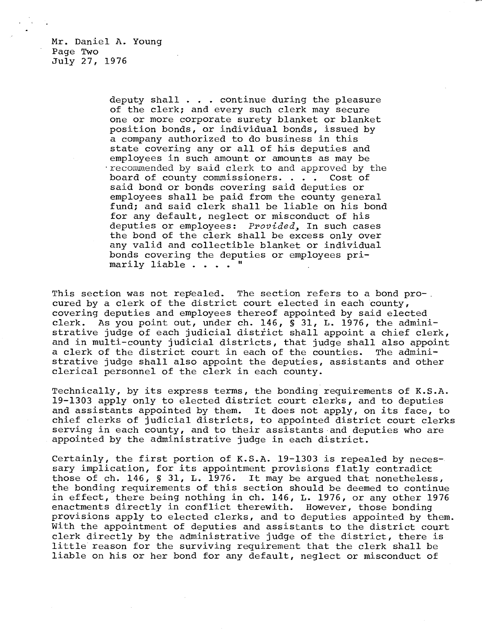Mr. Daniel A. Young Page Two July 27, 1976

> deputy shall . . . continue during the pleasure of the clerk; and every such clerk may secure one or more corporate surety blanket or blanket position bonds, or individual bonds, issued by a company authorized to do business in this state covering any or all of his deputies and employees in such amount or amounts as may be recommended by said clerk to and approved by the board of county commissioners. . . . Cost of said bond or bonds covering said deputies or employees shall be paid from the county general fund; and said clerk shall be liable on his bond for any default, neglect or misconduct of his deputies or employees: Provided, In such cases the bond of the clerk shall be excess only over any valid and collectible blanket or individual bonds covering the deputies or employees primarily liable . . . . "

This section was not repealed. The section refers to a bond pro-. cured by a clerk of the district court elected in each county, covering deputies and employees thereof appointed by said elected clerk. As you point out, under ch. 146, § 31, L. 1976, the administrative judge of each judicial district shall appoint a chief clerk, and in multi-county judicial districts, that judge shall also appoint a clerk of the district court in each of the counties. The administrative judge shall also appoint the deputies, assistants and other clerical personnel of the clerk in each county.

Technically, by its express terms, the bonding requirements of K.S.A. 19-1303 apply only to elected district court clerks, and to deputies and assistants appointed by them. It does not apply, on its face, to chief clerks of judicial districts, to appointed district court clerks serving in each county, and to their assistants and deputies who are appointed by the administrative judge in each district.

Certainly, the first portion of K.S.A. 19-1303 is repealed by necessary implication, for its appointment provisions flatly contradict those of ch. 146, § 31, L. 1976. It may be argued that nonetheless, the bonding requirements of this section should be deemed to continue in effect, there being nothing in ch. 146, L. 1976, or any other 1976 enactments directly in conflict therewith. However, those bonding provisions apply to elected clerks, and to deputies appointed by them. With the appointment of deputies and assistants to the district court clerk directly by the administrative judge of the district, there is little reason for the surviving requirement that the clerk shall be liable on his or her bond for any default, neglect or misconduct of